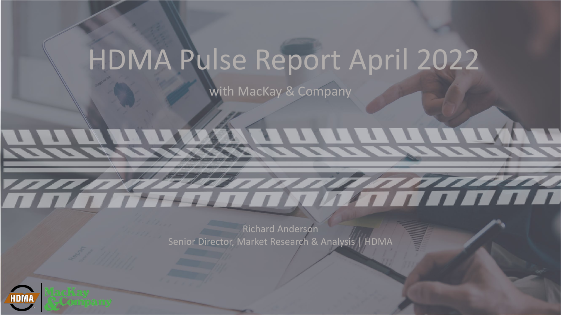## HDMA Pulse Report April 2022

with MacKay & Company

Richard Anderson Senior Director, Market Research & Analysis | HDMA

**KALANDER KALLER KALLER** 

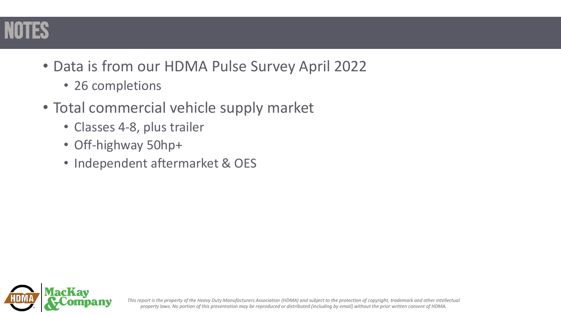

- Data is from our HDMA Pulse Survey April 2022
	- 26 completions
- Total commercial vehicle supply market
	- Classes 4-8, plus trailer
	- Off-highway 50hp+
	- Independent aftermarket & OES

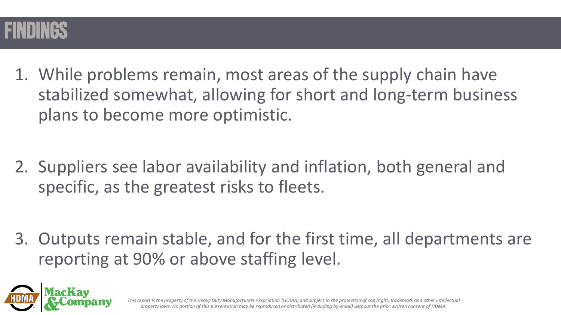

1. While problems remain, most areas of the supply chain have stabilized somewhat, allowing for short and long-term business plans to become more optimistic.

2. Suppliers see labor availability and inflation, both general and specific, as the greatest risks to fleets.

3. Outputs remain stable, and for the first time, all departments are reporting at 90% or above staffing level.

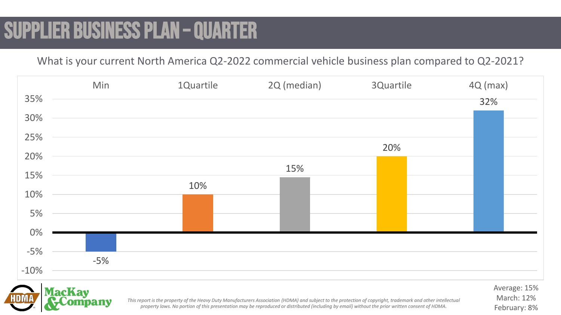## SUPPLIER BUSINESS PLAN – QUARTER

What is your current North America Q2-2022 commercial vehicle business plan compared to Q2-2021?





*This report is the property of the Heavy Duty Manufacturers Association (HDMA) and subject to the protection of copyright, trademark and other intellectual property laws. No portion of this presentation may be reproduced or distributed (including by email) without the prior written consent of HDMA.* 

Average: 15% March: 12% February: 8%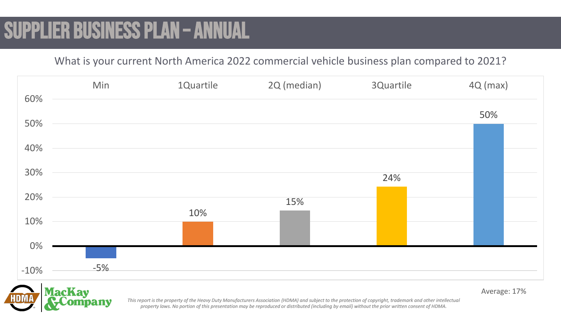## SUPPLIER BUSINESS PLAN – ANNUAL

What is your current North America 2022 commercial vehicle business plan compared to 2021?



Average: 17%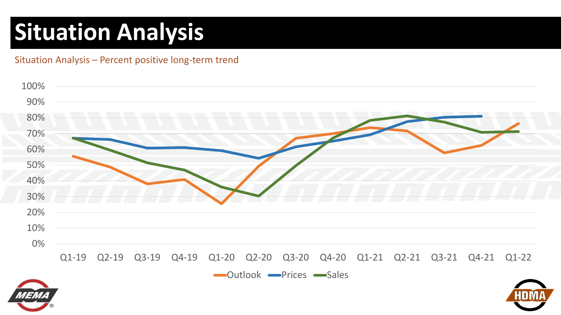## **Situation Analysis**

Situation Analysis – Percent positive long-term trend



outlook Prices Sales



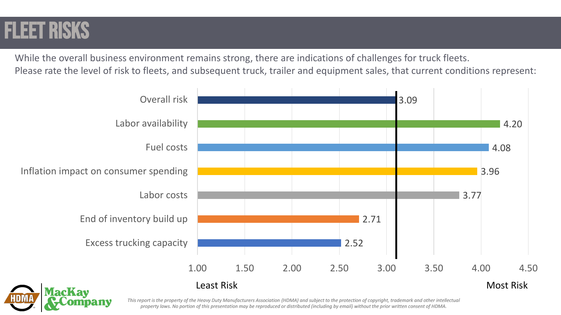#### Fleet risks

While the overall business environment remains strong, there are indications of challenges for truck fleets. Please rate the level of risk to fleets, and subsequent truck, trailer and equipment sales, that current conditions represent:

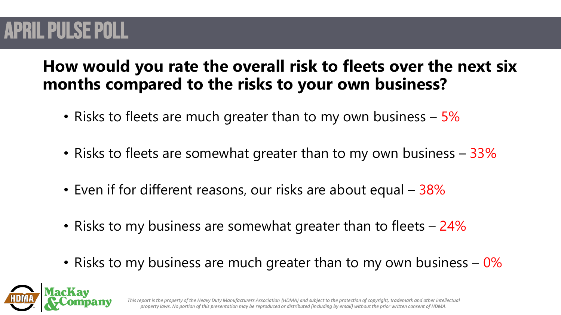### **APRIL PULSE POLL**

#### **How would you rate the overall risk to fleets over the next six months compared to the risks to your own business?**

- Risks to fleets are much greater than to my own business 5%
- Risks to fleets are somewhat greater than to my own business 33%
- Even if for different reasons, our risks are about equal 38%
- Risks to my business are somewhat greater than to fleets 24%
- Risks to my business are much greater than to my own business  $-0\%$

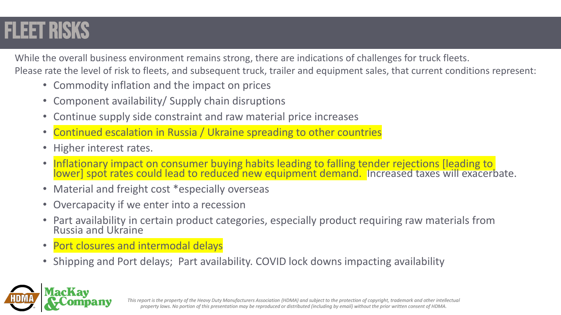## Fleet risks

While the overall business environment remains strong, there are indications of challenges for truck fleets. Please rate the level of risk to fleets, and subsequent truck, trailer and equipment sales, that current conditions represent:

- Commodity inflation and the impact on prices
- Component availability/ Supply chain disruptions
- Continue supply side constraint and raw material price increases
- Continued escalation in Russia / Ukraine spreading to other countries
- Higher interest rates.
- Inflationary impact on consumer buying habits leading to falling tender rejections [leading to lower] spot rates could lead to reduced new equipment demand. Increased taxes will exacerbate.
- Material and freight cost \*especially overseas
- Overcapacity if we enter into a recession
- Part availability in certain product categories, especially product requiring raw materials from Russia and Ukraine
- Port closures and intermodal delays
- Shipping and Port delays; Part availability. COVID lock downs impacting availability

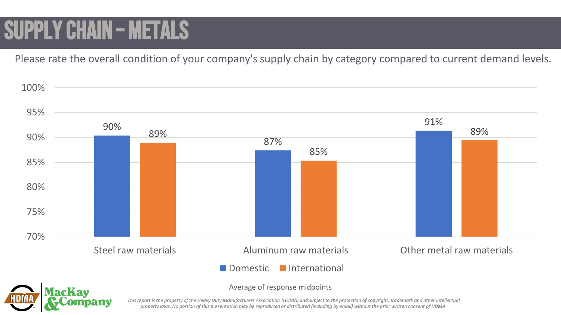# SUPPLY CHAIN – METALS

Please rate the overall condition of your company's supply chain by category compared to current demand levels.





Average of response midpoints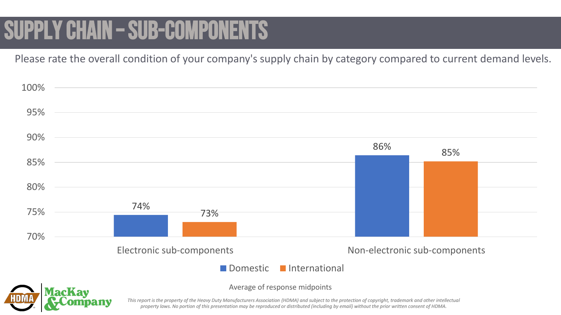## SUPPLY CHAIN – SUB-COMPONENTS

Please rate the overall condition of your company's supply chain by category compared to current demand levels.

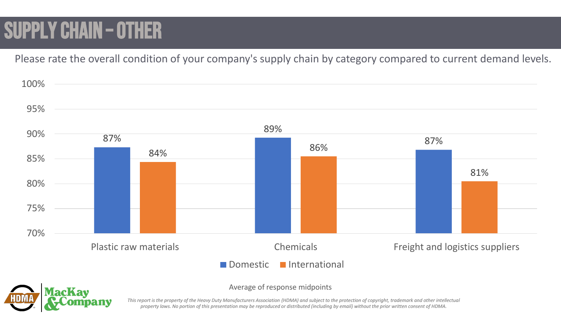## SUPPLY CHAIN – OTHER

Please rate the overall condition of your company's supply chain by category compared to current demand levels.





Average of response midpoints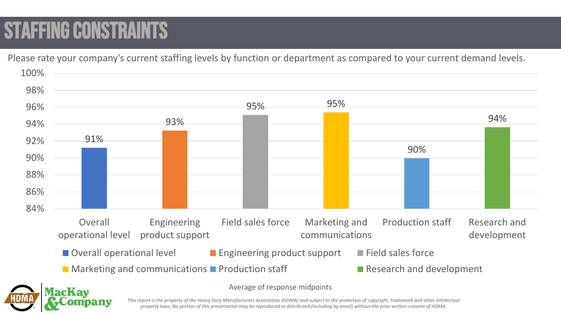## **STAFFING CONSTRAINT**

Please rate your company's current staffing levels by function or department as compared to your current demand levels.

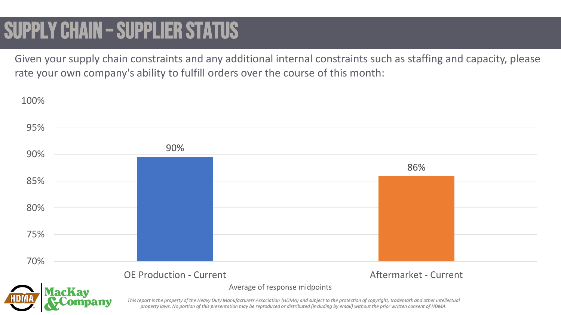### SUPPLY CHAIN – SUPPLIER STATUS

Given your supply chain constraints and any additional internal constraints such as staffing and capacity, please rate your own company's ability to fulfill orders over the course of this month:

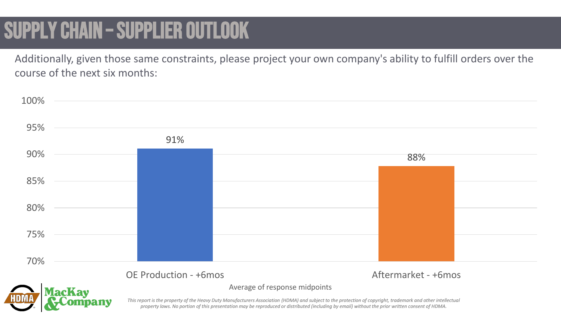## SUPPLY CHAIN – SUPPLIER OUTLOOK

Additionally, given those same constraints, please project your own company's ability to fulfill orders over the course of the next six months:

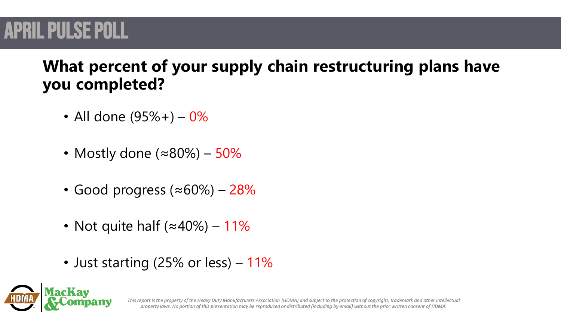### **APRIL PULSE POLL**

#### **What percent of your supply chain restructuring plans have you completed?**

- All done  $(95\% +) 0\%$
- Mostly done (≈80%) 50%
- Good progress (≈60%) 28%
- Not quite half  $(\approx 40\%)$  11%
- Just starting (25% or less) 11%

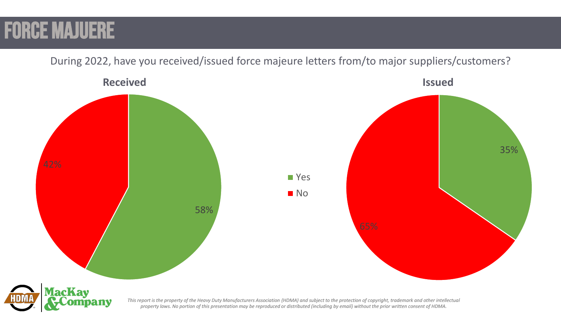#### FORCE MAJUERE

During 2022, have you received/issued force majeure letters from/to major suppliers/customers?

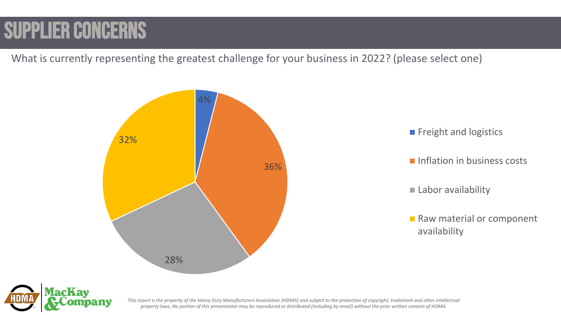## SUPPLIER CONCERNS

What is currently representing the greatest challenge for your business in 2022? (please select one)





- **Inflation in business costs**
- Labor availability
- Raw material or component availability